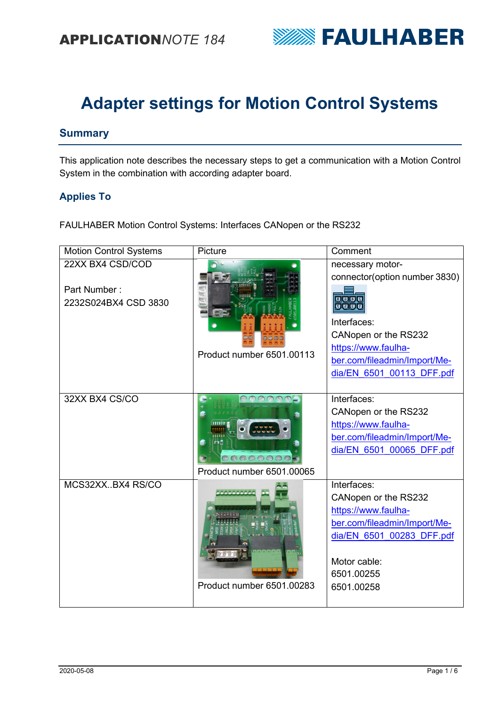

# **Adapter settings for Motion Control Systems**

### **Summary**

This application note describes the necessary steps to get a communication with a Motion Control System in the combination with according adapter board.

#### **Applies To**

FAULHABER Motion Control Systems: Interfaces CANopen or the RS232

| <b>Motion Control Systems</b>                            | Picture                                            | Comment                                                                                                                                                                                                  |
|----------------------------------------------------------|----------------------------------------------------|----------------------------------------------------------------------------------------------------------------------------------------------------------------------------------------------------------|
| 22XX BX4 CSD/COD<br>Part Number:<br>2232S024BX4 CSD 3830 | Product number 6501.00113                          | necessary motor-<br>connector(option number 3830)<br><u>र चिंडिडि</u><br>odab<br>Interfaces:<br>CANopen or the RS232<br>https://www.faulha-<br>ber.com/fileadmin/Import/Me-<br>dia/EN 6501 00113 DFF.pdf |
| 32XX BX4 CS/CO                                           | $\bigcirc$<br>6000000<br>Product number 6501.00065 | Interfaces:<br>CANopen or the RS232<br>https://www.faulha-<br>ber.com/fileadmin/Import/Me-<br>dia/EN 6501 00065 DFF.pdf                                                                                  |
| MCS32XXBX4 RS/CO                                         | Product number 6501.00283                          | Interfaces:<br>CANopen or the RS232<br>https://www.faulha-<br>ber.com/fileadmin/Import/Me-<br>dia/EN 6501 00283 DFF.pdf<br>Motor cable:<br>6501.00255<br>6501.00258                                      |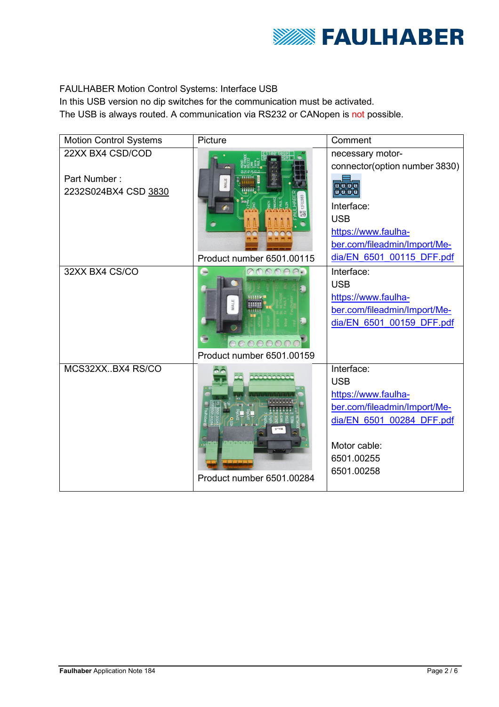

### FAULHABER Motion Control Systems: Interface USB

In this USB version no dip switches for the communication must be activated.

The USB is always routed. A communication via RS232 or CANopen is not possible.

| <b>Motion Control Systems</b>                            | Picture                                 | Comment                                                                                                                                                                                   |
|----------------------------------------------------------|-----------------------------------------|-------------------------------------------------------------------------------------------------------------------------------------------------------------------------------------------|
| 22XX BX4 CSD/COD<br>Part Number:<br>2232S024BX4 CSD 3830 | Product number 6501.00115               | necessary motor-<br>connector(option number 3830)<br><u> बाजर</u><br>ogoo<br>Interface:<br><b>USB</b><br>https://www.faulha-<br>ber.com/fileadmin/Import/Me-<br>dia/EN 6501 00115 DFF.pdf |
| 32XX BX4 CS/CO                                           | $\bigcirc$<br>Product number 6501.00159 | Interface:<br><b>USB</b><br>https://www.faulha-<br>ber.com/fileadmin/Import/Me-<br>dia/EN 6501 00159 DFF.pdf                                                                              |
| MCS32XXBX4 RS/CO                                         | 000000<br>Product number 6501.00284     | Interface:<br><b>USB</b><br>https://www.faulha-<br>ber.com/fileadmin/Import/Me-<br>dia/EN 6501 00284 DFF.pdf<br>Motor cable:<br>6501.00255<br>6501.00258                                  |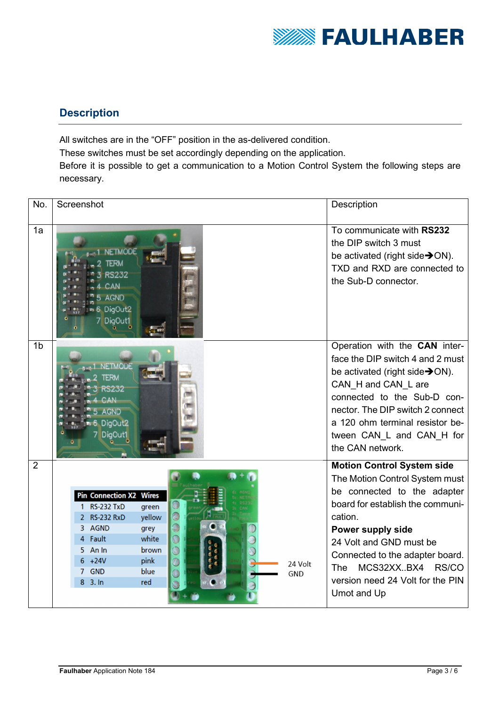

### **Description**

All switches are in the "OFF" position in the as-delivered condition. These switches must be set accordingly depending on the application. Before it is possible to get a communication to a Motion Control System the following steps are necessary.

| No.            | Screenshot                                                                                                                       |                                                                                           | Description                                                                                                                                                                                                                                                                                                                   |
|----------------|----------------------------------------------------------------------------------------------------------------------------------|-------------------------------------------------------------------------------------------|-------------------------------------------------------------------------------------------------------------------------------------------------------------------------------------------------------------------------------------------------------------------------------------------------------------------------------|
| 1a             | <b>NETMODE</b><br>232<br>CAN<br><b>AGND</b><br>DigOut <sub>2</sub><br>7 DigOut1                                                  |                                                                                           | To communicate with RS232<br>the DIP switch 3 must<br>be activated (right side $\rightarrow$ ON).<br>TXD and RXD are connected to<br>the Sub-D connector.                                                                                                                                                                     |
| 1 <sub>b</sub> | <b>NETMODE</b><br>ERM<br><b>GND</b><br>DigOut <sub>2</sub><br>DigOut1                                                            |                                                                                           | Operation with the CAN inter-<br>face the DIP switch 4 and 2 must<br>be activated (right side→ON).<br>CAN H and CAN L are<br>connected to the Sub-D con-<br>nector. The DIP switch 2 connect<br>a 120 ohm terminal resistor be-<br>tween CAN_L and CAN_H for<br>the CAN network.                                              |
| $\overline{2}$ | <b>Pin Connection X2 Wires</b><br>1 RS-232 TxD<br>2 RS-232 RxD<br>3 AGND<br>4 Fault<br>5 An In<br>$+24V$<br>7 GND<br>$8\,$ 3. In | green<br>yellow<br>grey<br>white<br>brown<br>pink<br>24 Volt<br>blue<br><b>GND</b><br>red | <b>Motion Control System side</b><br>The Motion Control System must<br>be connected to the adapter<br>board for establish the communi-<br>cation.<br>Power supply side<br>24 Volt and GND must be<br>Connected to the adapter board.<br>MCS32XX.BX4<br>RS/CO<br><b>The</b><br>version need 24 Volt for the PIN<br>Umot and Up |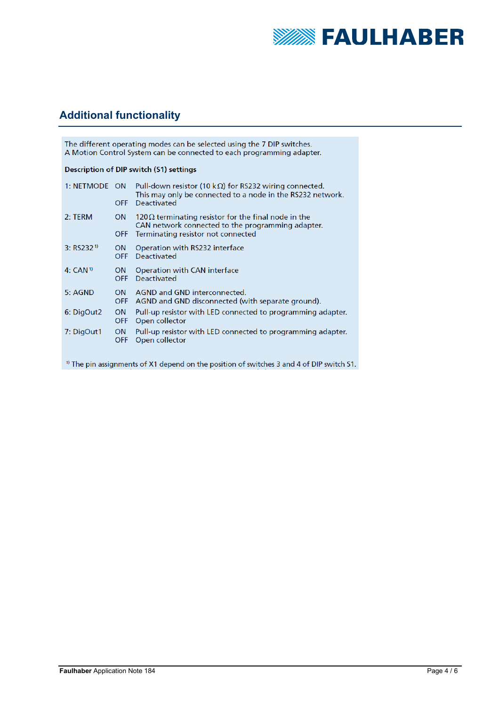

## **Additional functionality**

| The different operating modes can be selected using the 7 DIP switches.<br>A Motion Control System can be connected to each programming adapter. |                         |                                                                                                                                                        |  |
|--------------------------------------------------------------------------------------------------------------------------------------------------|-------------------------|--------------------------------------------------------------------------------------------------------------------------------------------------------|--|
| Description of DIP switch (S1) settings                                                                                                          |                         |                                                                                                                                                        |  |
| 1: NETMODE ON                                                                                                                                    | <b>OFF</b>              | Pull-down resistor (10 k $\Omega$ ) for RS232 wiring connected.<br>This may only be connected to a node in the RS232 network.<br><b>Deactivated</b>    |  |
| 2: TERM                                                                                                                                          | <b>ON</b><br><b>OFF</b> | 120 $\Omega$ terminating resistor for the final node in the<br>CAN network connected to the programming adapter.<br>Terminating resistor not connected |  |
| 3: RS232 <sup>1)</sup>                                                                                                                           | <b>ON</b><br><b>OFF</b> | Operation with RS232 interface<br>Deactivated                                                                                                          |  |
| 4: CAN <sup>1)</sup>                                                                                                                             | <b>ON</b><br><b>OFF</b> | Operation with CAN interface<br><b>Deactivated</b>                                                                                                     |  |
| 5: AGND                                                                                                                                          | <b>ON</b><br><b>OFF</b> | AGND and GND interconnected.<br>AGND and GND disconnected (with separate ground).                                                                      |  |
| 6: DigOut2                                                                                                                                       | <b>ON</b><br><b>OFF</b> | Pull-up resistor with LED connected to programming adapter.<br>Open collector                                                                          |  |
| 7: DigOut1                                                                                                                                       | <b>ON</b><br><b>OFF</b> | Pull-up resistor with LED connected to programming adapter.<br>Open collector                                                                          |  |
| <sup>1)</sup> The pin assignments of X1 depend on the position of switches 3 and 4 of DIP switch S1.                                             |                         |                                                                                                                                                        |  |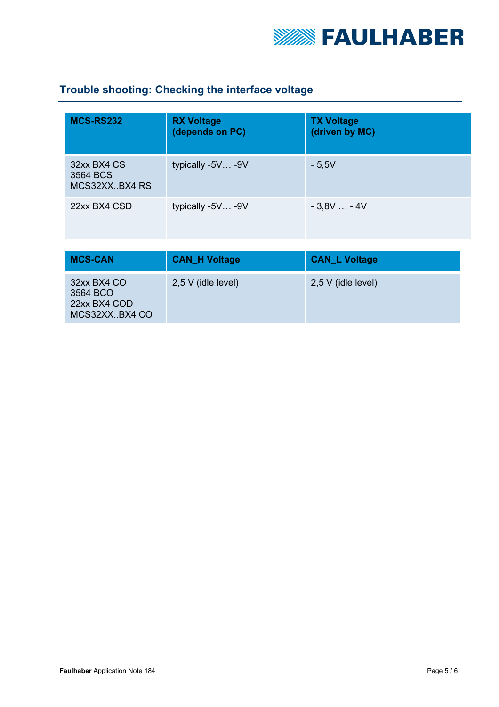

## **Trouble shooting: Checking the interface voltage**

| <b>MCS-RS232</b>                         | <b>RX Voltage</b><br>(depends on PC) | <b>TX Voltage</b><br>(driven by MC) |
|------------------------------------------|--------------------------------------|-------------------------------------|
| 32xx BX4 CS<br>3564 BCS<br>MCS32XXBX4 RS | typically -5V -9V                    | $-5,5V$                             |
| 22xx BX4 CSD                             | typically -5V -9V                    | $-3,8V - 4V$                        |

| <b>MCS-CAN</b>                                            | <b>CAN H Voltage</b> | <b>CAN_L Voltage</b> |
|-----------------------------------------------------------|----------------------|----------------------|
| 32xx BX4 CO<br>3564 BCO<br>22xx BX4 COD<br>MCS32XX.BX4 CO | $2,5$ V (idle level) | $2,5$ V (idle level) |